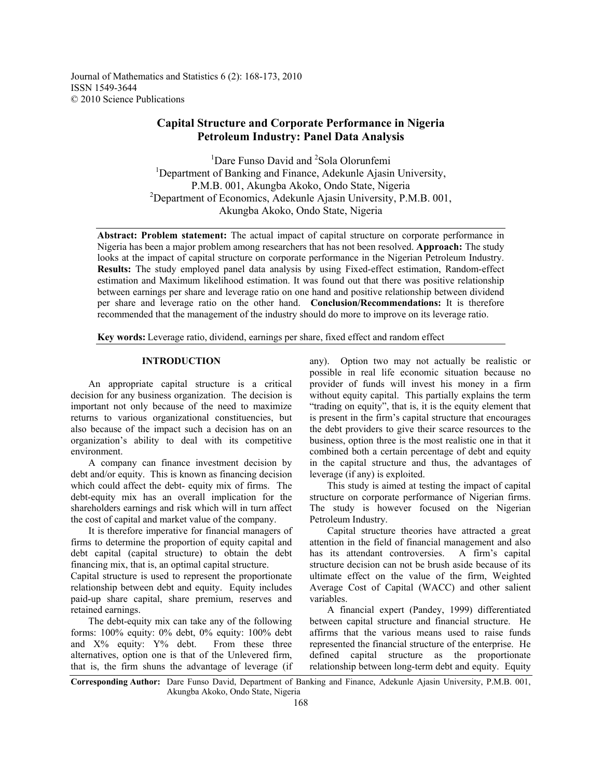Journal of Mathematics and Statistics 6 (2): 168-173, 2010 ISSN 1549-3644 © 2010 Science Publications

# **Capital Structure and Corporate Performance in Nigeria Petroleum Industry: Panel Data Analysis**

<sup>1</sup>Dare Funso David and <sup>2</sup>Sola Olorunfemi <sup>1</sup>Department of Banking and Finance, Adekunle Ajasin University, P.M.B. 001, Akungba Akoko, Ondo State, Nigeria 2 Department of Economics, Adekunle Ajasin University, P.M.B. 001, Akungba Akoko, Ondo State, Nigeria

**Abstract: Problem statement:** The actual impact of capital structure on corporate performance in Nigeria has been a major problem among researchers that has not been resolved. **Approach:** The study looks at the impact of capital structure on corporate performance in the Nigerian Petroleum Industry. **Results:** The study employed panel data analysis by using Fixed-effect estimation, Random-effect estimation and Maximum likelihood estimation. It was found out that there was positive relationship between earnings per share and leverage ratio on one hand and positive relationship between dividend per share and leverage ratio on the other hand. **Conclusion/Recommendations:** It is therefore recommended that the management of the industry should do more to improve on its leverage ratio.

**Key words:** Leverage ratio, dividend, earnings per share, fixed effect and random effect

#### **INTRODUCTION**

 An appropriate capital structure is a critical decision for any business organization. The decision is important not only because of the need to maximize returns to various organizational constituencies, but also because of the impact such a decision has on an organization's ability to deal with its competitive environment.

 A company can finance investment decision by debt and/or equity. This is known as financing decision which could affect the debt- equity mix of firms. The debt-equity mix has an overall implication for the shareholders earnings and risk which will in turn affect the cost of capital and market value of the company.

 It is therefore imperative for financial managers of firms to determine the proportion of equity capital and debt capital (capital structure) to obtain the debt financing mix, that is, an optimal capital structure.

Capital structure is used to represent the proportionate relationship between debt and equity. Equity includes paid-up share capital, share premium, reserves and retained earnings.

 The debt-equity mix can take any of the following forms: 100% equity: 0% debt, 0% equity: 100% debt and X% equity: Y% debt. From these three alternatives, option one is that of the Unlevered firm, that is, the firm shuns the advantage of leverage (if any). Option two may not actually be realistic or possible in real life economic situation because no provider of funds will invest his money in a firm without equity capital. This partially explains the term "trading on equity", that is, it is the equity element that is present in the firm's capital structure that encourages the debt providers to give their scarce resources to the business, option three is the most realistic one in that it combined both a certain percentage of debt and equity in the capital structure and thus, the advantages of leverage (if any) is exploited.

 This study is aimed at testing the impact of capital structure on corporate performance of Nigerian firms. The study is however focused on the Nigerian Petroleum Industry.

 Capital structure theories have attracted a great attention in the field of financial management and also has its attendant controversies. A firm's capital structure decision can not be brush aside because of its ultimate effect on the value of the firm, Weighted Average Cost of Capital (WACC) and other salient variables.

 A financial expert (Pandey, 1999) differentiated between capital structure and financial structure. He affirms that the various means used to raise funds represented the financial structure of the enterprise. He defined capital structure as the proportionate relationship between long-term debt and equity. Equity

**Corresponding Author:** Dare Funso David, Department of Banking and Finance, Adekunle Ajasin University, P.M.B. 001, Akungba Akoko, Ondo State, Nigeria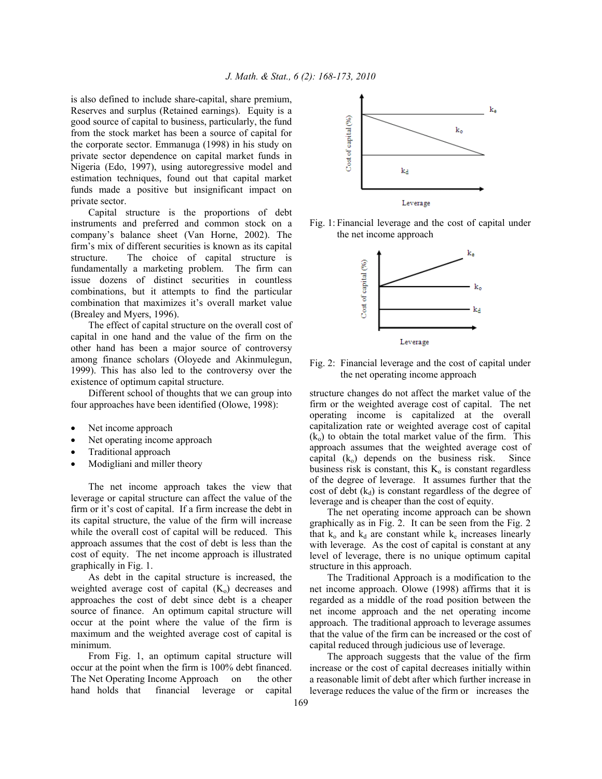is also defined to include share-capital, share premium, Reserves and surplus (Retained earnings). Equity is a good source of capital to business, particularly, the fund from the stock market has been a source of capital for the corporate sector. Emmanuga (1998) in his study on private sector dependence on capital market funds in Nigeria (Edo, 1997), using autoregressive model and estimation techniques, found out that capital market funds made a positive but insignificant impact on private sector.

 Capital structure is the proportions of debt instruments and preferred and common stock on a company's balance sheet (Van Horne, 2002). The firm's mix of different securities is known as its capital structure. The choice of capital structure is fundamentally a marketing problem. The firm can issue dozens of distinct securities in countless combinations, but it attempts to find the particular combination that maximizes it's overall market value (Brealey and Myers, 1996).

 The effect of capital structure on the overall cost of capital in one hand and the value of the firm on the other hand has been a major source of controversy among finance scholars (Oloyede and Akinmulegun, 1999). This has also led to the controversy over the existence of optimum capital structure.

 Different school of thoughts that we can group into four approaches have been identified (Olowe, 1998):

- Net income approach
- Net operating income approach
- Traditional approach
- Modigliani and miller theory

 The net income approach takes the view that leverage or capital structure can affect the value of the firm or it's cost of capital. If a firm increase the debt in its capital structure, the value of the firm will increase while the overall cost of capital will be reduced. This approach assumes that the cost of debt is less than the cost of equity. The net income approach is illustrated graphically in Fig. 1.

 As debt in the capital structure is increased, the weighted average cost of capital  $(K_0)$  decreases and approaches the cost of debt since debt is a cheaper source of finance. An optimum capital structure will occur at the point where the value of the firm is maximum and the weighted average cost of capital is minimum.

 From Fig. 1, an optimum capital structure will occur at the point when the firm is 100% debt financed. The Net Operating Income Approach on the other hand holds that financial leverage or capital



Fig. 1: Financial leverage and the cost of capital under the net income approach



Fig. 2: Financial leverage and the cost of capital under the net operating income approach

structure changes do not affect the market value of the firm or the weighted average cost of capital. The net operating income is capitalized at the overall capitalization rate or weighted average cost of capital  $(k_0)$  to obtain the total market value of the firm. This approach assumes that the weighted average cost of capital  $(k_0)$  depends on the business risk. Since business risk is constant, this  $K_0$  is constant regardless of the degree of leverage. It assumes further that the cost of debt  $(k_d)$  is constant regardless of the degree of leverage and is cheaper than the cost of equity.

 The net operating income approach can be shown graphically as in Fig. 2. It can be seen from the Fig. 2 that  $k_0$  and  $k_d$  are constant while  $k_e$  increases linearly with leverage. As the cost of capital is constant at any level of leverage, there is no unique optimum capital structure in this approach.

 The Traditional Approach is a modification to the net income approach. Olowe (1998) affirms that it is regarded as a middle of the road position between the net income approach and the net operating income approach. The traditional approach to leverage assumes that the value of the firm can be increased or the cost of capital reduced through judicious use of leverage.

 The approach suggests that the value of the firm increase or the cost of capital decreases initially within a reasonable limit of debt after which further increase in leverage reduces the value of the firm or increases the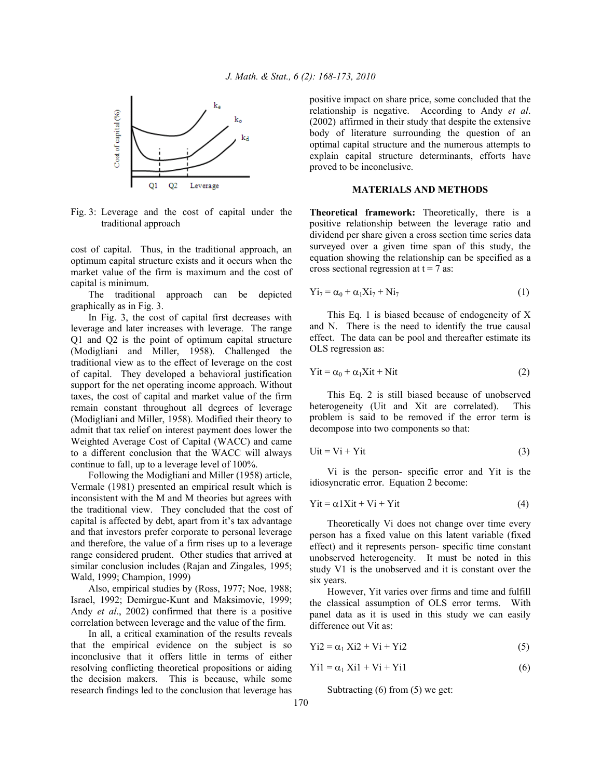

Fig. 3: Leverage and the cost of capital under the traditional approach

cost of capital. Thus, in the traditional approach, an optimum capital structure exists and it occurs when the market value of the firm is maximum and the cost of capital is minimum.

 The traditional approach can be depicted graphically as in Fig. 3.

 In Fig. 3, the cost of capital first decreases with leverage and later increases with leverage. The range Q1 and Q2 is the point of optimum capital structure (Modigliani and Miller, 1958). Challenged the traditional view as to the effect of leverage on the cost of capital. They developed a behavioral justification support for the net operating income approach. Without taxes, the cost of capital and market value of the firm remain constant throughout all degrees of leverage (Modigliani and Miller, 1958). Modified their theory to admit that tax relief on interest payment does lower the Weighted Average Cost of Capital (WACC) and came to a different conclusion that the WACC will always continue to fall, up to a leverage level of 100%.

 Following the Modigliani and Miller (1958) article, Vermale (1981) presented an empirical result which is inconsistent with the M and M theories but agrees with the traditional view. They concluded that the cost of capital is affected by debt, apart from it's tax advantage and that investors prefer corporate to personal leverage and therefore, the value of a firm rises up to a leverage range considered prudent. Other studies that arrived at similar conclusion includes (Rajan and Zingales, 1995; Wald, 1999; Champion, 1999)

 Also, empirical studies by (Ross, 1977; Noe, 1988; Israel, 1992; Demirguc-Kunt and Maksimovic, 1999; Andy *et al*., 2002) confirmed that there is a positive correlation between leverage and the value of the firm.

 In all, a critical examination of the results reveals that the empirical evidence on the subject is so inconclusive that it offers little in terms of either resolving conflicting theoretical propositions or aiding the decision makers. This is because, while some research findings led to the conclusion that leverage has

positive impact on share price, some concluded that the relationship is negative. According to Andy *et al*. (2002) affirmed in their study that despite the extensive body of literature surrounding the question of an optimal capital structure and the numerous attempts to explain capital structure determinants, efforts have proved to be inconclusive.

## **MATERIALS AND METHODS**

**Theoretical framework:** Theoretically, there is a positive relationship between the leverage ratio and dividend per share given a cross section time series data surveyed over a given time span of this study, the equation showing the relationship can be specified as a cross sectional regression at  $t = 7$  as:

$$
Yi_7 = \alpha_0 + \alpha_1 Xi_7 + Ni_7 \tag{1}
$$

 This Eq. 1 is biased because of endogeneity of X and N. There is the need to identify the true causal effect. The data can be pool and thereafter estimate its OLS regression as:

$$
Yit = \alpha_0 + \alpha_1 Xit + Nit
$$
 (2)

 This Eq. 2 is still biased because of unobserved heterogeneity (Uit and Xit are correlated). This problem is said to be removed if the error term is decompose into two components so that:

$$
Uit = Vi + Yit
$$
 (3)

 Vi is the person- specific error and Yit is the idiosyncratic error. Equation 2 become:

$$
Yit = \alpha 1Xit + Vi + Yit
$$
 (4)

 Theoretically Vi does not change over time every person has a fixed value on this latent variable (fixed effect) and it represents person- specific time constant unobserved heterogeneity. It must be noted in this study V1 is the unobserved and it is constant over the six years.

 However, Yit varies over firms and time and fulfill the classical assumption of OLS error terms. With panel data as it is used in this study we can easily difference out Vit as:

$$
Yi2 = \alpha_1 Xi2 + Vi + Yi2 \tag{5}
$$

$$
Yi1 = \alpha_1 Xi1 + Vi + Yi1 \tag{6}
$$

Subtracting (6) from (5) we get: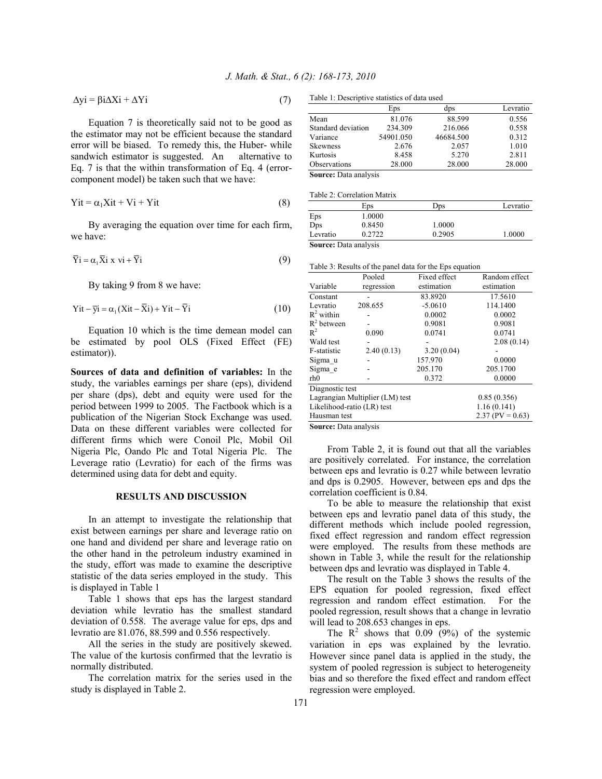$$
\Delta y i = \beta i \Delta X i + \Delta Y i \tag{7}
$$

Table 1: Descriptive statistics of data used

 Equation 7 is theoretically said not to be good as the estimator may not be efficient because the standard error will be biased. To remedy this, the Huber- while sandwich estimator is suggested. An alternative to Eq. 7 is that the within transformation of Eq. 4 (errorcomponent model) be taken such that we have:

$$
Yit = \alpha_1 Xit + Vi + Yit
$$
 (8)

 By averaging the equation over time for each firm, we have:

$$
\overline{Y}i = \alpha_1 \overline{X}i \times vi + \overline{Y}i \tag{9}
$$

By taking 9 from 8 we have:

$$
Yit - \overline{y}i = \alpha_1(Xit - \overline{X}i) + Yit - \overline{Y}i
$$
 (10)

 Equation 10 which is the time demean model can be estimated by pool OLS (Fixed Effect (FE) estimator)).

**Sources of data and definition of variables:** In the study, the variables earnings per share (eps), dividend per share (dps), debt and equity were used for the period between 1999 to 2005. The Factbook which is a publication of the Nigerian Stock Exchange was used. Data on these different variables were collected for different firms which were Conoil Plc, Mobil Oil Nigeria Plc, Oando Plc and Total Nigeria Plc. The Leverage ratio (Levratio) for each of the firms was determined using data for debt and equity.

## **RESULTS AND DISCUSSION**

 In an attempt to investigate the relationship that exist between earnings per share and leverage ratio on one hand and dividend per share and leverage ratio on the other hand in the petroleum industry examined in the study, effort was made to examine the descriptive statistic of the data series employed in the study. This is displayed in Table 1

 Table 1 shows that eps has the largest standard deviation while levratio has the smallest standard deviation of 0.558. The average value for eps, dps and levratio are 81.076, 88.599 and 0.556 respectively.

 All the series in the study are positively skewed. The value of the kurtosis confirmed that the levratio is normally distributed.

 The correlation matrix for the series used in the study is displayed in Table 2.

| Eps       | dps       | Levratio |
|-----------|-----------|----------|
| 81.076    | 88.599    | 0.556    |
| 234.309   | 216.066   | 0.558    |
| 54901.050 | 46684.500 | 0.312    |
| 2.676     | 2.057     | 1.010    |
| 8.458     | 5.270     | 2.811    |
| 28.000    | 28,000    | 28.000   |
|           |           |          |

Table 2: Correlation Matrix

|                              | Table 2: Correlation Matrix |        |          |
|------------------------------|-----------------------------|--------|----------|
|                              | Eps                         | Dps    | Levratio |
| Eps                          | 1.0000                      |        |          |
| Dps                          | 0.8450                      | 1.0000 |          |
| Levratio                     | 0.2722                      | 0.2905 | 1.0000   |
| <b>Source:</b> Data analysis |                             |        |          |

Table 3: Results of the panel data for the Eps equation

|                                 | Pooled     | Fixed effect | Random effect      |
|---------------------------------|------------|--------------|--------------------|
| Variable                        | regression | estimation   | estimation         |
| Constant                        |            | 83.8920      | 17.5610            |
| Levratio                        | 208.655    | $-5.0610$    | 114.1400           |
| $R^2$ within                    |            | 0.0002       | 0.0002             |
| $R^2$ between                   |            | 0.9081       | 0.9081             |
| $R^2$                           | 0.090      | 0.0741       | 0.0741             |
| Wald test                       |            |              | 2.08(0.14)         |
| F-statistic                     | 2.40(0.13) | 3.20(0.04)   |                    |
| Sigma u                         |            | 157.970      | 0.0000             |
| Sigma e                         |            | 205.170      | 205.1700           |
| rho                             |            | 0.372        | 0.0000             |
| Diagnostic test                 |            |              |                    |
| Lagrangian Multiplier (LM) test |            | 0.85(0.356)  |                    |
| Likelihood-ratio (LR) test      |            | 1.16(0.141)  |                    |
| Hausman test                    |            |              | $2.37$ (PV = 0.63) |
|                                 |            |              |                    |

**Source:** Data analysis

 From Table 2, it is found out that all the variables are positively correlated. For instance, the correlation between eps and levratio is 0.27 while between levratio and dps is 0.2905. However, between eps and dps the correlation coefficient is 0.84.

 To be able to measure the relationship that exist between eps and levratio panel data of this study, the different methods which include pooled regression, fixed effect regression and random effect regression were employed. The results from these methods are shown in Table 3, while the result for the relationship between dps and levratio was displayed in Table 4.

 The result on the Table 3 shows the results of the EPS equation for pooled regression, fixed effect regression and random effect estimation. For the pooled regression, result shows that a change in levratio will lead to 208.653 changes in eps.

The  $R^2$  shows that 0.09 (9%) of the systemic variation in eps was explained by the levratio. However since panel data is applied in the study, the system of pooled regression is subject to heterogeneity bias and so therefore the fixed effect and random effect regression were employed.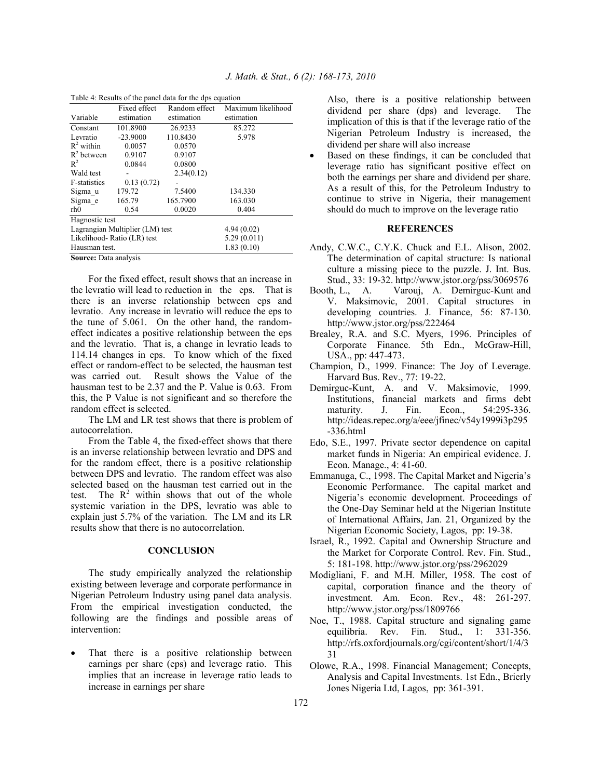Table 4: Results of the panel data for the dps equation

|                                 | Fixed effect | Random effect | Maximum likelihood |  |  |
|---------------------------------|--------------|---------------|--------------------|--|--|
| Variable                        | estimation   | estimation    | estimation         |  |  |
| Constant                        | 101.8900     | 26.9233       | 85.272             |  |  |
| Levratio                        | $-23.9000$   | 110.8430      | 5.978              |  |  |
| $R^2$ within                    | 0.0057       | 0.0570        |                    |  |  |
| $R^2$ between                   | 0.9107       | 0.9107        |                    |  |  |
| $R^2$                           | 0.0844       | 0.0800        |                    |  |  |
| Wald test                       |              | 2.34(0.12)    |                    |  |  |
| F-statistics                    | 0.13(0.72)   |               |                    |  |  |
| Sigma u                         | 179.72       | 7.5400        | 134.330            |  |  |
| Sigma e                         | 165.79       | 165.7900      | 163.030            |  |  |
| rh0                             | 0.54         | 0.0020        | 0.404              |  |  |
| Hagnostic test                  |              |               |                    |  |  |
| Lagrangian Multiplier (LM) test |              | 4.94(0.02)    |                    |  |  |
| Likelihood-Ratio (LR) test      |              | 5.29(0.011)   |                    |  |  |
| Hausman test.                   |              |               | 1.83(0.10)         |  |  |
| Source: Data analysis           |              |               |                    |  |  |

 For the fixed effect, result shows that an increase in the levratio will lead to reduction in the eps. That is there is an inverse relationship between eps and levratio. Any increase in levratio will reduce the eps to the tune of 5.061. On the other hand, the randomeffect indicates a positive relationship between the eps and the levratio. That is, a change in levratio leads to 114.14 changes in eps. To know which of the fixed effect or random-effect to be selected, the hausman test was carried out. Result shows the Value of the hausman test to be 2.37 and the P. Value is 0.63. From this, the P Value is not significant and so therefore the random effect is selected.

 The LM and LR test shows that there is problem of autocorrelation.

 From the Table 4, the fixed-effect shows that there is an inverse relationship between levratio and DPS and for the random effect, there is a positive relationship between DPS and levratio. The random effect was also selected based on the hausman test carried out in the test. The  $R^2$  within shows that out of the whole systemic variation in the DPS, levratio was able to explain just 5.7% of the variation. The LM and its LR results show that there is no autocorrelation.

### **CONCLUSION**

 The study empirically analyzed the relationship existing between leverage and corporate performance in Nigerian Petroleum Industry using panel data analysis. From the empirical investigation conducted, the following are the findings and possible areas of intervention:

That there is a positive relationship between earnings per share (eps) and leverage ratio. This implies that an increase in leverage ratio leads to increase in earnings per share

Also, there is a positive relationship between dividend per share (dps) and leverage. The implication of this is that if the leverage ratio of the Nigerian Petroleum Industry is increased, the dividend per share will also increase

Based on these findings, it can be concluded that leverage ratio has significant positive effect on both the earnings per share and dividend per share. As a result of this, for the Petroleum Industry to continue to strive in Nigeria, their management should do much to improve on the leverage ratio

#### **REFERENCES**

- Andy, C.W.C., C.Y.K. Chuck and E.L. Alison, 2002. The determination of capital structure: Is national culture a missing piece to the puzzle. J. Int. Bus. Stud., 33: 19-32. http://www.jstor.org/pss/3069576
- Booth, L., A. Varouj, A. Demirguc-Kunt and V. Maksimovic, 2001. Capital structures in developing countries. J. Finance, 56: 87-130. http://www.jstor.org/pss/222464
- Brealey, R.A. and S.C. Myers, 1996. Principles of Corporate Finance. 5th Edn., McGraw-Hill, USA., pp: 447-473.
- Champion, D., 1999. Finance: The Joy of Leverage. Harvard Bus. Rev., 77: 19-22.
- Demirguc-Kunt, A. and V. Maksimovic, 1999. Institutions, financial markets and firms debt maturity. J. Fin. Econ., 54:295-336. http://ideas.repec.org/a/eee/jfinec/v54y1999i3p295 -336.html
- Edo, S.E., 1997. Private sector dependence on capital market funds in Nigeria: An empirical evidence. J. Econ. Manage., 4: 41-60.
- Emmanuga, C., 1998. The Capital Market and Nigeria's Economic Performance. The capital market and Nigeria's economic development. Proceedings of the One-Day Seminar held at the Nigerian Institute of International Affairs, Jan. 21, Organized by the Nigerian Economic Society, Lagos, pp: 19-38.
- Israel, R., 1992. Capital and Ownership Structure and the Market for Corporate Control. Rev. Fin. Stud., 5: 181-198. http://www.jstor.org/pss/2962029
- Modigliani, F. and M.H. Miller, 1958. The cost of capital, corporation finance and the theory of investment. Am. Econ. Rev., 48: 261-297. http://www.jstor.org/pss/1809766
- Noe, T., 1988. Capital structure and signaling game equilibria. Rev. Fin. Stud., 1: 331-356. http://rfs.oxfordjournals.org/cgi/content/short/1/4/3 31
- Olowe, R.A., 1998. Financial Management; Concepts, Analysis and Capital Investments. 1st Edn., Brierly Jones Nigeria Ltd, Lagos, pp: 361-391.